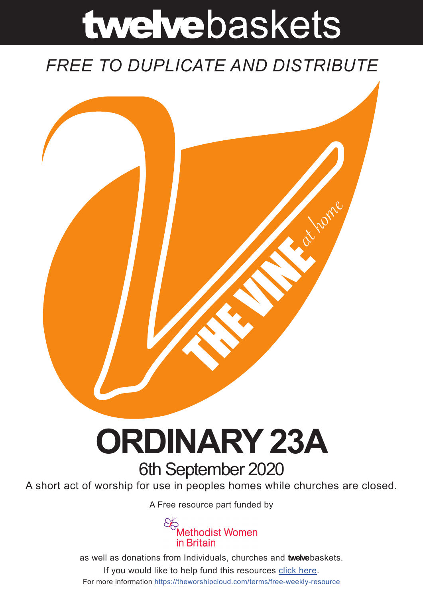# twelvebaskets

### *FREE TO DUPLICATE AND DISTRIBUTE*



## **ORDINARY 23A** 6th September 2020

A short act of worship for use in peoples homes while churches are closed.

A [Free resource part funded](https://mwib.org.uk) by



as well as donations from Individuals, churches and **twelve**baskets. If you would like to help fund this resources [click here]( https://theworshipcloud.com/tags/donation). For more information<https://theworshipcloud.com/terms/free-weekly-resource>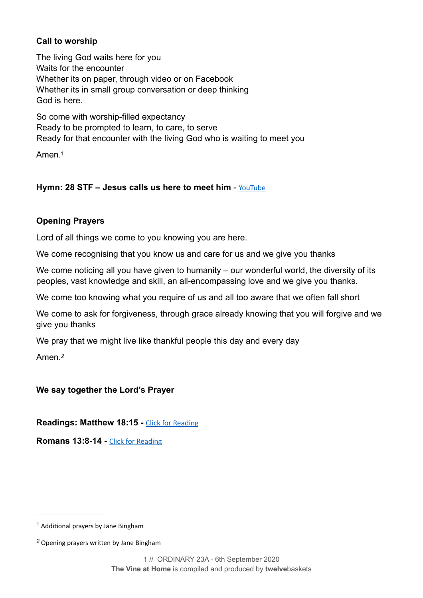#### **Call to worship**

The living God waits here for you Waits for the encounter Whether its on paper, through video or on Facebook Whether its in small group conversation or deep thinking God is here.

So come with worship-filled expectancy Ready to be prompted to learn, to care, to serve Ready for that encounter with the living God who is waiting to meet you

<span id="page-1-2"></span>Amen<sup>[1](#page-1-0)</sup>

#### **Hymn: 28 STF – Jesus calls us here to meet him** - [YouTube](https://www.youtube.com/watch?v=wvBGtFPd6TQ)

#### **Opening Prayers**

Lord of all things we come to you knowing you are here.

We come recognising that you know us and care for us and we give you thanks

We come noticing all you have given to humanity – our wonderful world, the diversity of its peoples, vast knowledge and skill, an all-encompassing love and we give you thanks.

We come too knowing what you require of us and all too aware that we often fall short

We come to ask for forgiveness, through grace already knowing that you will forgive and we give you thanks

We pray that we might live like thankful people this day and every day

<span id="page-1-3"></span>Amen.*[2](#page-1-1)*

#### **We say together the Lord's Prayer**

**Readings: Matthew 18:15 -** [Click for Reading](https://www.biblegateway.com/passage/?search=Matthew+18:15-20&version=NRSV)

**Romans 13:8-14 -** [Click for Reading](https://www.biblegateway.com/passage/?search=Romans+13:8-14&version=NRSV)

<span id="page-1-0"></span> $1$  Additional prayers by Jane Bingham

<span id="page-1-1"></span><sup>&</sup>lt;sup>[2](#page-1-3)</sup> Opening prayers written by Jane Bingham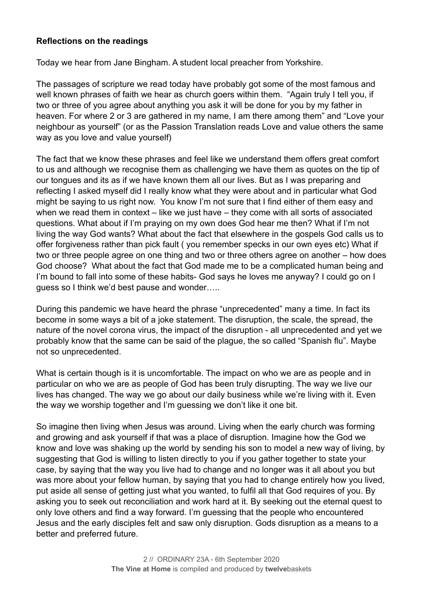#### **Reflections on the readings**

Today we hear from Jane Bingham. A student local preacher from Yorkshire.

The passages of scripture we read today have probably got some of the most famous and well known phrases of faith we hear as church goers within them. "Again truly I tell you, if two or three of you agree about anything you ask it will be done for you by my father in heaven. For where 2 or 3 are gathered in my name, I am there among them" and "Love your neighbour as yourself" (or as the Passion Translation reads Love and value others the same way as you love and value yourself)

The fact that we know these phrases and feel like we understand them offers great comfort to us and although we recognise them as challenging we have them as quotes on the tip of our tongues and its as if we have known them all our lives. But as I was preparing and reflecting I asked myself did I really know what they were about and in particular what God might be saying to us right now. You know I'm not sure that I find either of them easy and when we read them in context – like we just have – they come with all sorts of associated questions. What about if I'm praying on my own does God hear me then? What if I'm not living the way God wants? What about the fact that elsewhere in the gospels God calls us to offer forgiveness rather than pick fault ( you remember specks in our own eyes etc) What if two or three people agree on one thing and two or three others agree on another – how does God choose? What about the fact that God made me to be a complicated human being and I'm bound to fall into some of these habits- God says he loves me anyway? I could go on I guess so I think we'd best pause and wonder…..

During this pandemic we have heard the phrase "unprecedented" many a time. In fact its become in some ways a bit of a joke statement. The disruption, the scale, the spread, the nature of the novel corona virus, the impact of the disruption - all unprecedented and yet we probably know that the same can be said of the plague, the so called "Spanish flu". Maybe not so unprecedented.

What is certain though is it is uncomfortable. The impact on who we are as people and in particular on who we are as people of God has been truly disrupting. The way we live our lives has changed. The way we go about our daily business while we're living with it. Even the way we worship together and I'm guessing we don't like it one bit.

So imagine then living when Jesus was around. Living when the early church was forming and growing and ask yourself if that was a place of disruption. Imagine how the God we know and love was shaking up the world by sending his son to model a new way of living, by suggesting that God is willing to listen directly to you if you gather together to state your case, by saying that the way you live had to change and no longer was it all about you but was more about your fellow human, by saying that you had to change entirely how you lived, put aside all sense of getting just what you wanted, to fulfil all that God requires of you. By asking you to seek out reconciliation and work hard at it. By seeking out the eternal quest to only love others and find a way forward. I'm guessing that the people who encountered Jesus and the early disciples felt and saw only disruption. Gods disruption as a means to a better and preferred future.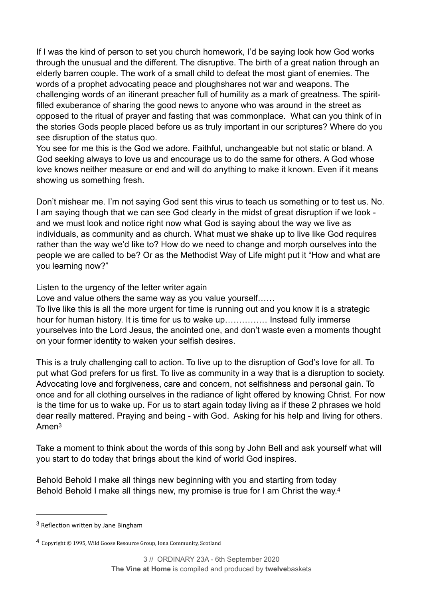If I was the kind of person to set you church homework, I'd be saying look how God works through the unusual and the different. The disruptive. The birth of a great nation through an elderly barren couple. The work of a small child to defeat the most giant of enemies. The words of a prophet advocating peace and ploughshares not war and weapons. The challenging words of an itinerant preacher full of humility as a mark of greatness. The spiritfilled exuberance of sharing the good news to anyone who was around in the street as opposed to the ritual of prayer and fasting that was commonplace. What can you think of in the stories Gods people placed before us as truly important in our scriptures? Where do you see disruption of the status quo.

You see for me this is the God we adore. Faithful, unchangeable but not static or bland. A God seeking always to love us and encourage us to do the same for others. A God whose love knows neither measure or end and will do anything to make it known. Even if it means showing us something fresh.

Don't mishear me. I'm not saying God sent this virus to teach us something or to test us. No. I am saying though that we can see God clearly in the midst of great disruption if we look and we must look and notice right now what God is saying about the way we live as individuals, as community and as church. What must we shake up to live like God requires rather than the way we'd like to? How do we need to change and morph ourselves into the people we are called to be? Or as the Methodist Way of Life might put it "How and what are you learning now?"

Listen to the urgency of the letter writer again

Love and value others the same way as you value yourself……

To live like this is all the more urgent for time is running out and you know it is a strategic hour for human history. It is time for us to wake up…………… Instead fully immerse yourselves into the Lord Jesus, the anointed one, and don't waste even a moments thought on your former identity to waken your selfish desires.

This is a truly challenging call to action. To live up to the disruption of God's love for all. To put what God prefers for us first. To live as community in a way that is a disruption to society. Advocating love and forgiveness, care and concern, not selfishness and personal gain. To once and for all clothing ourselves in the radiance of light offered by knowing Christ. For now is the time for us to wake up. For us to start again today living as if these 2 phrases we hold dear really mattered. Praying and being - with God. Asking for his help and living for others. Ame[n3](#page-3-0)

<span id="page-3-2"></span>Take a moment to think about the words of this song by John Bell and ask yourself what will you start to do today that brings about the kind of world God inspires.

<span id="page-3-3"></span>Behold Behold I make all things new beginning with you and starting from today Behold Behold I make all things new, my promise is true for I am Christ the way[.4](#page-3-1)

<span id="page-3-0"></span> $3$  Reflection written by Jane Bingham

<span id="page-3-1"></span>[<sup>4</sup>](#page-3-3) Copyright © 1995, Wild Goose Resource Group, Iona Community, Scotland